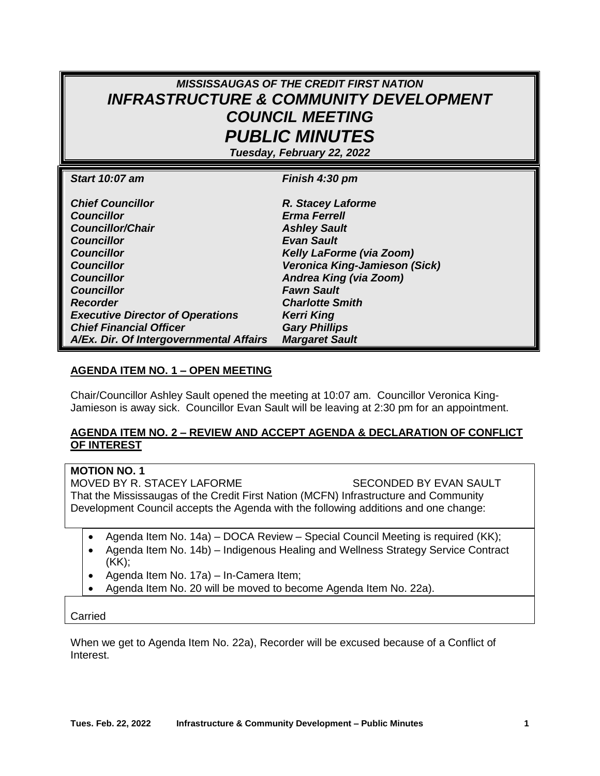# *MISSISSAUGAS OF THE CREDIT FIRST NATION INFRASTRUCTURE & COMMUNITY DEVELOPMENT COUNCIL MEETING PUBLIC MINUTES*

*Tuesday, February 22, 2022*

| <b>Start 10:07 am</b>                   | Finish 4:30 pm                |
|-----------------------------------------|-------------------------------|
|                                         |                               |
| <b>Chief Councillor</b>                 | R. Stacey Laforme             |
| <b>Councillor</b>                       | <b>Erma Ferrell</b>           |
| <b>Councillor/Chair</b>                 | <b>Ashley Sault</b>           |
| <b>Councillor</b>                       | <b>Evan Sault</b>             |
| <b>Councillor</b>                       | Kelly LaForme (via Zoom)      |
| <b>Councillor</b>                       | Veronica King-Jamieson (Sick) |
| <b>Councillor</b>                       | Andrea King (via Zoom)        |
| <b>Councillor</b>                       | <b>Fawn Sault</b>             |
| <b>Recorder</b>                         | <b>Charlotte Smith</b>        |
| <b>Executive Director of Operations</b> | <b>Kerri King</b>             |
| <b>Chief Financial Officer</b>          | <b>Gary Phillips</b>          |
| A/Ex. Dir. Of Intergovernmental Affairs | <b>Margaret Sault</b>         |

### **AGENDA ITEM NO. 1 – OPEN MEETING**

Chair/Councillor Ashley Sault opened the meeting at 10:07 am. Councillor Veronica King-Jamieson is away sick. Councillor Evan Sault will be leaving at 2:30 pm for an appointment.

#### **AGENDA ITEM NO. 2 – REVIEW AND ACCEPT AGENDA & DECLARATION OF CONFLICT OF INTEREST**

### **MOTION NO. 1**

MOVED BY R. STACEY LAFORME SECONDED BY EVAN SAULT That the Mississaugas of the Credit First Nation (MCFN) Infrastructure and Community Development Council accepts the Agenda with the following additions and one change:

- Agenda Item No. 14a) DOCA Review Special Council Meeting is required (KK);
- Agenda Item No. 14b) Indigenous Healing and Wellness Strategy Service Contract (KK);
- Agenda Item No. 17a) In-Camera Item;
- Agenda Item No. 20 will be moved to become Agenda Item No. 22a).

Carried

When we get to Agenda Item No. 22a), Recorder will be excused because of a Conflict of Interest.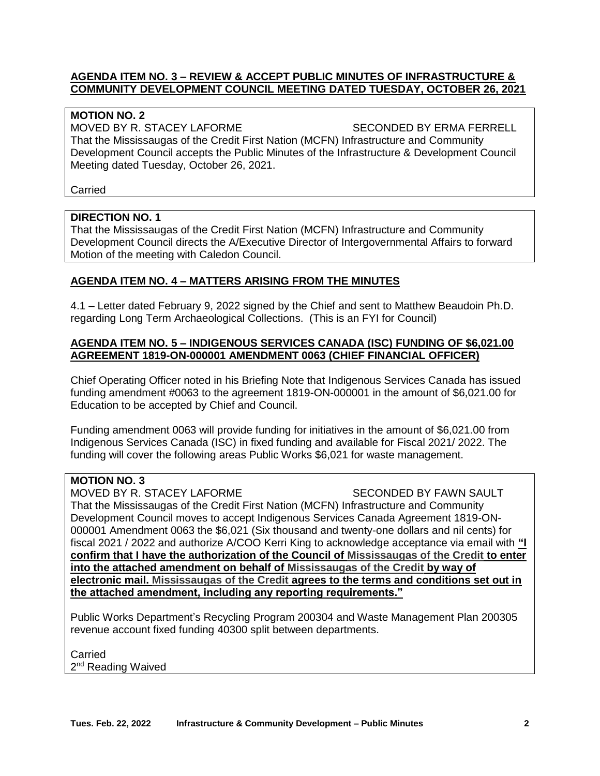### **AGENDA ITEM NO. 3 – REVIEW & ACCEPT PUBLIC MINUTES OF INFRASTRUCTURE & COMMUNITY DEVELOPMENT COUNCIL MEETING DATED TUESDAY, OCTOBER 26, 2021**

### **MOTION NO. 2**

MOVED BY R. STACEY LAFORME SECONDED BY ERMA FERRELL That the Mississaugas of the Credit First Nation (MCFN) Infrastructure and Community Development Council accepts the Public Minutes of the Infrastructure & Development Council Meeting dated Tuesday, October 26, 2021.

Carried

### **DIRECTION NO. 1**

That the Mississaugas of the Credit First Nation (MCFN) Infrastructure and Community Development Council directs the A/Executive Director of Intergovernmental Affairs to forward Motion of the meeting with Caledon Council.

## **AGENDA ITEM NO. 4 – MATTERS ARISING FROM THE MINUTES**

4.1 – Letter dated February 9, 2022 signed by the Chief and sent to Matthew Beaudoin Ph.D. regarding Long Term Archaeological Collections. (This is an FYI for Council)

### **AGENDA ITEM NO. 5 – INDIGENOUS SERVICES CANADA (ISC) FUNDING OF \$6,021.00 AGREEMENT 1819-ON-000001 AMENDMENT 0063 (CHIEF FINANCIAL OFFICER)**

Chief Operating Officer noted in his Briefing Note that Indigenous Services Canada has issued funding amendment #0063 to the agreement 1819-ON-000001 in the amount of \$6,021.00 for Education to be accepted by Chief and Council.

Funding amendment 0063 will provide funding for initiatives in the amount of \$6,021.00 from Indigenous Services Canada (ISC) in fixed funding and available for Fiscal 2021/ 2022. The funding will cover the following areas Public Works \$6,021 for waste management.

### **MOTION NO. 3**

MOVED BY R. STACEY LAFORME SECONDED BY FAWN SAULT That the Mississaugas of the Credit First Nation (MCFN) Infrastructure and Community Development Council moves to accept Indigenous Services Canada Agreement 1819-ON-000001 Amendment 0063 the \$6,021 (Six thousand and twenty-one dollars and nil cents) for fiscal 2021 / 2022 and authorize A/COO Kerri King to acknowledge acceptance via email with **"I confirm that I have the authorization of the Council of Mississaugas of the Credit to enter into the attached amendment on behalf of Mississaugas of the Credit by way of electronic mail. Mississaugas of the Credit agrees to the terms and conditions set out in the attached amendment, including any reporting requirements."**

Public Works Department's Recycling Program 200304 and Waste Management Plan 200305 revenue account fixed funding 40300 split between departments.

Carried 2<sup>nd</sup> Reading Waived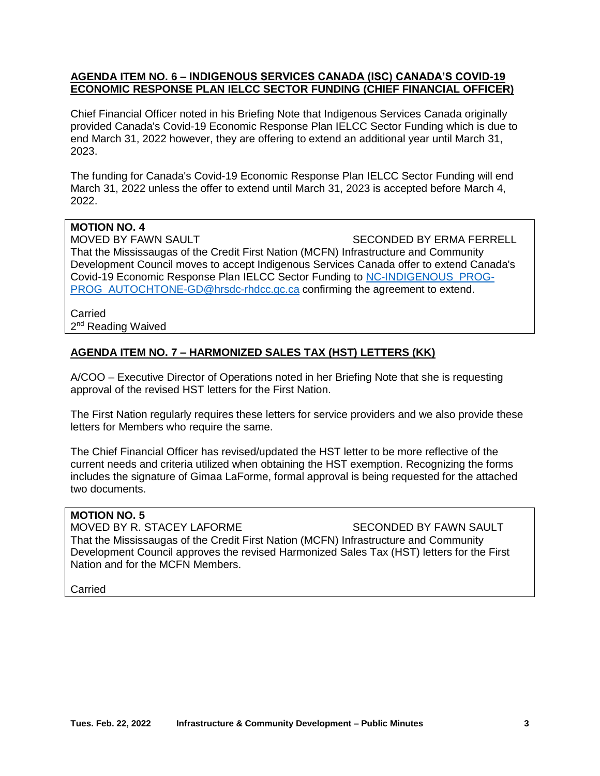### **AGENDA ITEM NO. 6 – INDIGENOUS SERVICES CANADA (ISC) CANADA'S COVID-19 ECONOMIC RESPONSE PLAN IELCC SECTOR FUNDING (CHIEF FINANCIAL OFFICER)**

Chief Financial Officer noted in his Briefing Note that Indigenous Services Canada originally provided Canada's Covid-19 Economic Response Plan IELCC Sector Funding which is due to end March 31, 2022 however, they are offering to extend an additional year until March 31, 2023.

The funding for Canada's Covid-19 Economic Response Plan IELCC Sector Funding will end March 31, 2022 unless the offer to extend until March 31, 2023 is accepted before March 4, 2022.

## **MOTION NO. 4**

MOVED BY FAWN SAULT SECONDED BY ERMA FERRELL That the Mississaugas of the Credit First Nation (MCFN) Infrastructure and Community Development Council moves to accept Indigenous Services Canada offer to extend Canada's Covid-19 Economic Response Plan IELCC Sector Funding to [NC-INDIGENOUS\\_PROG-](mailto:NC-INDIGENOUS_PROG-PROG_AUTOCHTONE-GD@hrsdc-rhdcc.gc.ca)[PROG\\_AUTOCHTONE-GD@hrsdc-rhdcc.gc.ca](mailto:NC-INDIGENOUS_PROG-PROG_AUTOCHTONE-GD@hrsdc-rhdcc.gc.ca) confirming the agreement to extend.

#### Carried 2<sup>nd</sup> Reading Waived

# **AGENDA ITEM NO. 7 – HARMONIZED SALES TAX (HST) LETTERS (KK)**

A/COO – Executive Director of Operations noted in her Briefing Note that she is requesting approval of the revised HST letters for the First Nation.

The First Nation regularly requires these letters for service providers and we also provide these letters for Members who require the same.

The Chief Financial Officer has revised/updated the HST letter to be more reflective of the current needs and criteria utilized when obtaining the HST exemption. Recognizing the forms includes the signature of Gimaa LaForme, formal approval is being requested for the attached two documents.

#### **MOTION NO. 5**

MOVED BY R. STACEY LAFORME SECONDED BY FAWN SAULT That the Mississaugas of the Credit First Nation (MCFN) Infrastructure and Community Development Council approves the revised Harmonized Sales Tax (HST) letters for the First Nation and for the MCFN Members.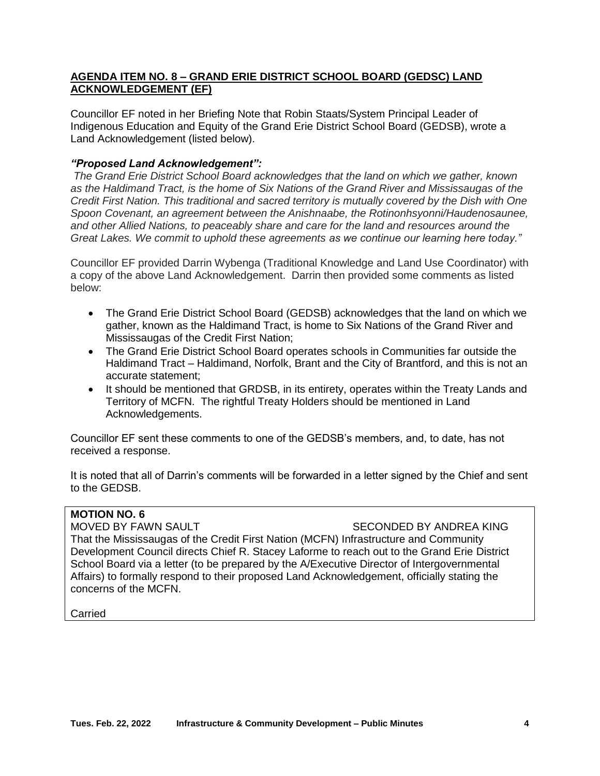### **AGENDA ITEM NO. 8 – GRAND ERIE DISTRICT SCHOOL BOARD (GEDSC) LAND ACKNOWLEDGEMENT (EF)**

Councillor EF noted in her Briefing Note that Robin Staats/System Principal Leader of Indigenous Education and Equity of the Grand Erie District School Board (GEDSB), wrote a Land Acknowledgement (listed below).

## *"Proposed Land Acknowledgement":*

*The Grand Erie District School Board acknowledges that the land on which we gather, known as the Haldimand Tract, is the home of Six Nations of the Grand River and Mississaugas of the Credit First Nation. This traditional and sacred territory is mutually covered by the Dish with One Spoon Covenant, an agreement between the Anishnaabe, the Rotinonhsyonni/Haudenosaunee, and other Allied Nations, to peaceably share and care for the land and resources around the Great Lakes. We commit to uphold these agreements as we continue our learning here today."*

Councillor EF provided Darrin Wybenga (Traditional Knowledge and Land Use Coordinator) with a copy of the above Land Acknowledgement. Darrin then provided some comments as listed below:

- The Grand Erie District School Board (GEDSB) acknowledges that the land on which we gather, known as the Haldimand Tract, is home to Six Nations of the Grand River and Mississaugas of the Credit First Nation;
- The Grand Erie District School Board operates schools in Communities far outside the Haldimand Tract – Haldimand, Norfolk, Brant and the City of Brantford, and this is not an accurate statement;
- It should be mentioned that GRDSB, in its entirety, operates within the Treaty Lands and Territory of MCFN. The rightful Treaty Holders should be mentioned in Land Acknowledgements.

Councillor EF sent these comments to one of the GEDSB's members, and, to date, has not received a response.

It is noted that all of Darrin's comments will be forwarded in a letter signed by the Chief and sent to the GEDSB.

## **MOTION NO. 6**

MOVED BY FAWN SAULT SECONDED BY ANDREA KING

That the Mississaugas of the Credit First Nation (MCFN) Infrastructure and Community Development Council directs Chief R. Stacey Laforme to reach out to the Grand Erie District School Board via a letter (to be prepared by the A/Executive Director of Intergovernmental Affairs) to formally respond to their proposed Land Acknowledgement, officially stating the concerns of the MCFN.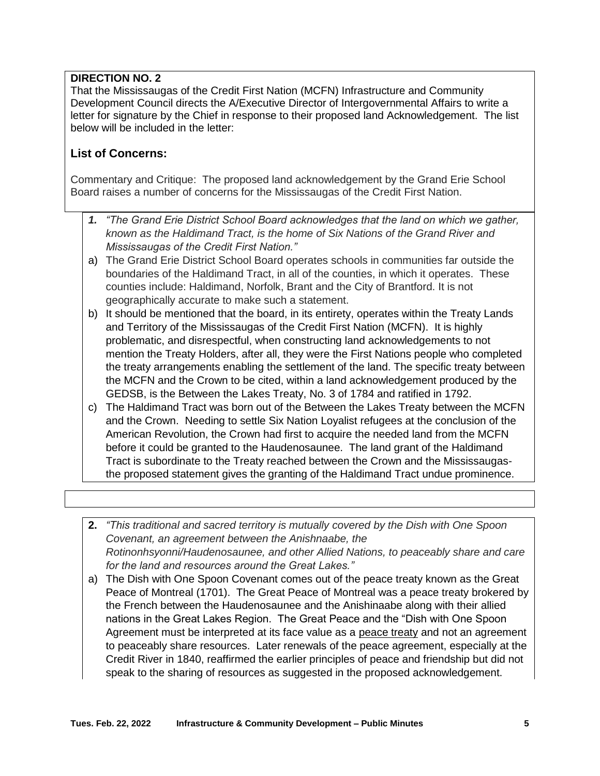# **DIRECTION NO. 2**

That the Mississaugas of the Credit First Nation (MCFN) Infrastructure and Community Development Council directs the A/Executive Director of Intergovernmental Affairs to write a letter for signature by the Chief in response to their proposed land Acknowledgement. The list below will be included in the letter:

# **List of Concerns:**

Commentary and Critique: The proposed land acknowledgement by the Grand Erie School Board raises a number of concerns for the Mississaugas of the Credit First Nation.

- *1. "The Grand Erie District School Board acknowledges that the land on which we gather, known as the Haldimand Tract, is the home of Six Nations of the Grand River and Mississaugas of the Credit First Nation."*
- a) The Grand Erie District School Board operates schools in communities far outside the boundaries of the Haldimand Tract, in all of the counties, in which it operates. These counties include: Haldimand, Norfolk, Brant and the City of Brantford. It is not geographically accurate to make such a statement.
- b) It should be mentioned that the board, in its entirety, operates within the Treaty Lands and Territory of the Mississaugas of the Credit First Nation (MCFN). It is highly problematic, and disrespectful, when constructing land acknowledgements to not mention the Treaty Holders, after all, they were the First Nations people who completed the treaty arrangements enabling the settlement of the land. The specific treaty between the MCFN and the Crown to be cited, within a land acknowledgement produced by the GEDSB, is the Between the Lakes Treaty, No. 3 of 1784 and ratified in 1792.
- c) The Haldimand Tract was born out of the Between the Lakes Treaty between the MCFN and the Crown. Needing to settle Six Nation Loyalist refugees at the conclusion of the American Revolution, the Crown had first to acquire the needed land from the MCFN before it could be granted to the Haudenosaunee. The land grant of the Haldimand Tract is subordinate to the Treaty reached between the Crown and the Mississaugasthe proposed statement gives the granting of the Haldimand Tract undue prominence.
- **2.** *"This traditional and sacred territory is mutually covered by the Dish with One Spoon Covenant, an agreement between the Anishnaabe, the Rotinonhsyonni/Haudenosaunee, and other Allied Nations, to peaceably share and care for the land and resources around the Great Lakes."*
- a) The Dish with One Spoon Covenant comes out of the peace treaty known as the Great Peace of Montreal (1701). The Great Peace of Montreal was a peace treaty brokered by the French between the Haudenosaunee and the Anishinaabe along with their allied nations in the Great Lakes Region. The Great Peace and the "Dish with One Spoon Agreement must be interpreted at its face value as a peace treaty and not an agreement to peaceably share resources. Later renewals of the peace agreement, especially at the Credit River in 1840, reaffirmed the earlier principles of peace and friendship but did not speak to the sharing of resources as suggested in the proposed acknowledgement.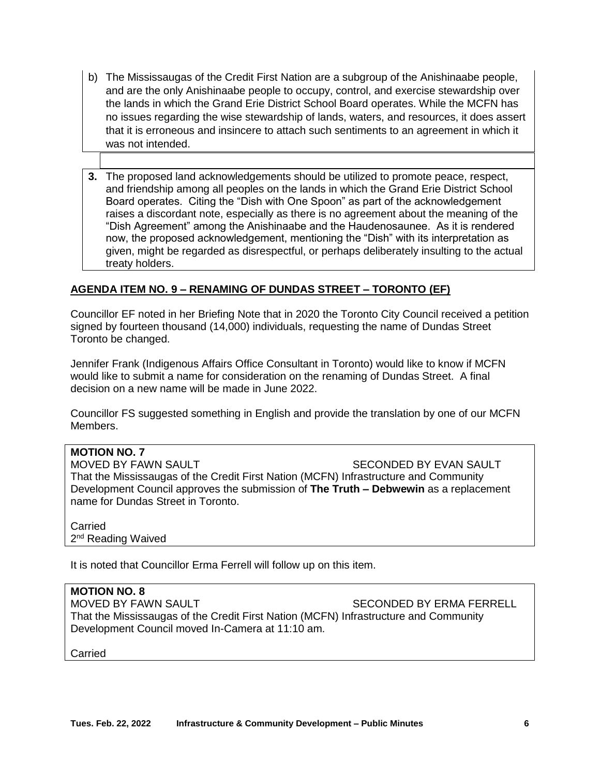- b) The Mississaugas of the Credit First Nation are a subgroup of the Anishinaabe people, and are the only Anishinaabe people to occupy, control, and exercise stewardship over the lands in which the Grand Erie District School Board operates. While the MCFN has no issues regarding the wise stewardship of lands, waters, and resources, it does assert that it is erroneous and insincere to attach such sentiments to an agreement in which it was not intended.
- **3.** The proposed land acknowledgements should be utilized to promote peace, respect, and friendship among all peoples on the lands in which the Grand Erie District School Board operates. Citing the "Dish with One Spoon" as part of the acknowledgement raises a discordant note, especially as there is no agreement about the meaning of the "Dish Agreement" among the Anishinaabe and the Haudenosaunee. As it is rendered now, the proposed acknowledgement, mentioning the "Dish" with its interpretation as given, might be regarded as disrespectful, or perhaps deliberately insulting to the actual treaty holders.

## **AGENDA ITEM NO. 9 – RENAMING OF DUNDAS STREET – TORONTO (EF)**

Councillor EF noted in her Briefing Note that in 2020 the Toronto City Council received a petition signed by fourteen thousand (14,000) individuals, requesting the name of Dundas Street Toronto be changed.

Jennifer Frank (Indigenous Affairs Office Consultant in Toronto) would like to know if MCFN would like to submit a name for consideration on the renaming of Dundas Street. A final decision on a new name will be made in June 2022.

Councillor FS suggested something in English and provide the translation by one of our MCFN Members.

#### **MOTION NO. 7**

MOVED BY FAWN SAULT SECONDED BY EVAN SAULT That the Mississaugas of the Credit First Nation (MCFN) Infrastructure and Community Development Council approves the submission of **The Truth – Debwewin** as a replacement name for Dundas Street in Toronto.

Carried 2<sup>nd</sup> Reading Waived

It is noted that Councillor Erma Ferrell will follow up on this item.

#### **MOTION NO. 8**

MOVED BY FAWN SAULT SECONDED BY ERMA FERRELL That the Mississaugas of the Credit First Nation (MCFN) Infrastructure and Community Development Council moved In-Camera at 11:10 am.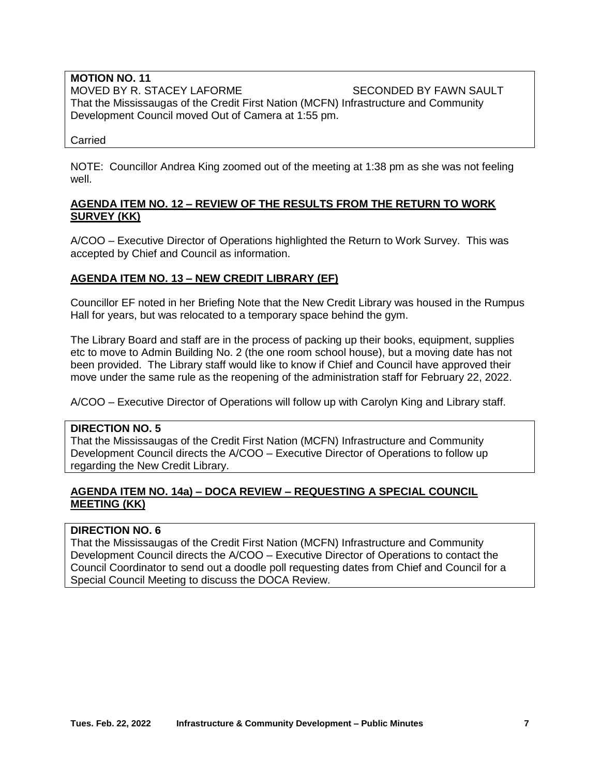#### **MOTION NO. 11** MOVED BY R. STACEY LAFORME SECONDED BY FAWN SAULT That the Mississaugas of the Credit First Nation (MCFN) Infrastructure and Community Development Council moved Out of Camera at 1:55 pm.

Carried

NOTE: Councillor Andrea King zoomed out of the meeting at 1:38 pm as she was not feeling well.

### **AGENDA ITEM NO. 12 – REVIEW OF THE RESULTS FROM THE RETURN TO WORK SURVEY (KK)**

A/COO – Executive Director of Operations highlighted the Return to Work Survey. This was accepted by Chief and Council as information.

## **AGENDA ITEM NO. 13 – NEW CREDIT LIBRARY (EF)**

Councillor EF noted in her Briefing Note that the New Credit Library was housed in the Rumpus Hall for years, but was relocated to a temporary space behind the gym.

The Library Board and staff are in the process of packing up their books, equipment, supplies etc to move to Admin Building No. 2 (the one room school house), but a moving date has not been provided. The Library staff would like to know if Chief and Council have approved their move under the same rule as the reopening of the administration staff for February 22, 2022.

A/COO – Executive Director of Operations will follow up with Carolyn King and Library staff.

#### **DIRECTION NO. 5**

That the Mississaugas of the Credit First Nation (MCFN) Infrastructure and Community Development Council directs the A/COO – Executive Director of Operations to follow up regarding the New Credit Library.

## **AGENDA ITEM NO. 14a) – DOCA REVIEW – REQUESTING A SPECIAL COUNCIL MEETING (KK)**

### **DIRECTION NO. 6**

That the Mississaugas of the Credit First Nation (MCFN) Infrastructure and Community Development Council directs the A/COO – Executive Director of Operations to contact the Council Coordinator to send out a doodle poll requesting dates from Chief and Council for a Special Council Meeting to discuss the DOCA Review.